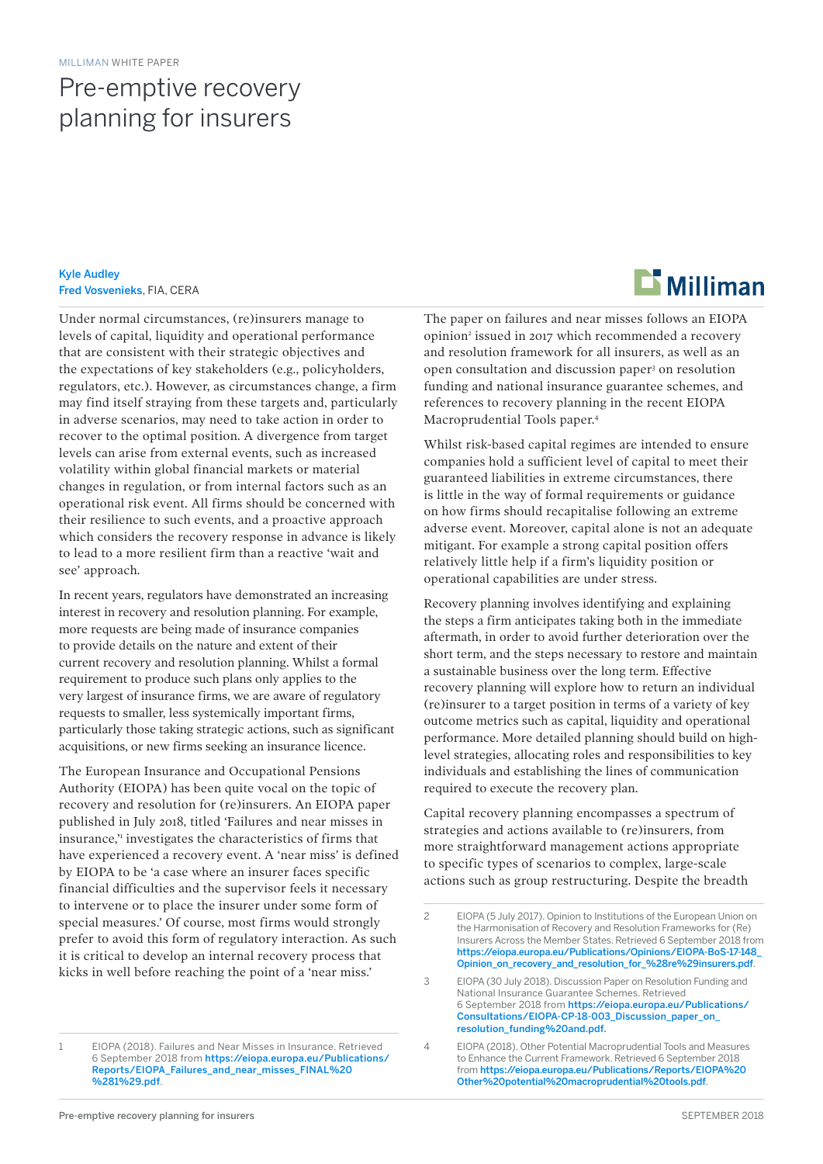## Pre-emptive recovery planning for insurers

Kyle Audley Fred Vosvenieks, FIA, CERA

Under normal circumstances, (re)insurers manage to levels of capital, liquidity and operational performance that are consistent with their strategic objectives and the expectations of key stakeholders (e.g., policyholders, regulators, etc.). However, as circumstances change, a firm may find itself straying from these targets and, particularly in adverse scenarios, may need to take action in order to recover to the optimal position. A divergence from target levels can arise from external events, such as increased volatility within global financial markets or material changes in regulation, or from internal factors such as an operational risk event. All firms should be concerned with their resilience to such events, and a proactive approach which considers the recovery response in advance is likely to lead to a more resilient firm than a reactive 'wait and see' approach.

In recent years, regulators have demonstrated an increasing interest in recovery and resolution planning. For example, more requests are being made of insurance companies to provide details on the nature and extent of their current recovery and resolution planning. Whilst a formal requirement to produce such plans only applies to the very largest of insurance firms, we are aware of regulatory requests to smaller, less systemically important firms, particularly those taking strategic actions, such as significant acquisitions, or new firms seeking an insurance licence.

The European Insurance and Occupational Pensions Authority (EIOPA) has been quite vocal on the topic of recovery and resolution for (re)insurers. An EIOPA paper published in July 2018, titled 'Failures and near misses in insurance,'1 investigates the characteristics of firms that have experienced a recovery event. A 'near miss' is defined by EIOPA to be 'a case where an insurer faces specific financial difficulties and the supervisor feels it necessary to intervene or to place the insurer under some form of special measures.' Of course, most firms would strongly prefer to avoid this form of regulatory interaction. As such it is critical to develop an internal recovery process that kicks in well before reaching the point of a 'near miss.'



The paper on failures and near misses follows an EIOPA opinion<sup>2</sup> issued in 2017 which recommended a recovery and resolution framework for all insurers, as well as an open consultation and discussion paper3 on resolution funding and national insurance guarantee schemes, and references to recovery planning in the recent EIOPA Macroprudential Tools paper.4

Whilst risk-based capital regimes are intended to ensure companies hold a sufficient level of capital to meet their guaranteed liabilities in extreme circumstances, there is little in the way of formal requirements or guidance on how firms should recapitalise following an extreme adverse event. Moreover, capital alone is not an adequate mitigant. For example a strong capital position offers relatively little help if a firm's liquidity position or operational capabilities are under stress.

Recovery planning involves identifying and explaining the steps a firm anticipates taking both in the immediate aftermath, in order to avoid further deterioration over the short term, and the steps necessary to restore and maintain a sustainable business over the long term. Effective recovery planning will explore how to return an individual (re)insurer to a target position in terms of a variety of key outcome metrics such as capital, liquidity and operational performance. More detailed planning should build on highlevel strategies, allocating roles and responsibilities to key individuals and establishing the lines of communication required to execute the recovery plan.

Capital recovery planning encompasses a spectrum of strategies and actions available to (re)insurers, from more straightforward management actions appropriate to specific types of scenarios to complex, large-scale actions such as group restructuring. Despite the breadth

<sup>1</sup> EIOPA (2018). Failures and Near Misses in Insurance. Retrieved 6 September 2018 from [https://eiopa.europa.eu/Publications/](https://eiopa.europa.eu/Publications/Reports/EIOPA_Failures_and_near_misses_FINAL%20%281%29.pdf) [Reports/EIOPA\\_Failures\\_and\\_near\\_misses\\_FINAL%20](https://eiopa.europa.eu/Publications/Reports/EIOPA_Failures_and_near_misses_FINAL%20%281%29.pdf) [%281%29.pdf](https://eiopa.europa.eu/Publications/Reports/EIOPA_Failures_and_near_misses_FINAL%20%281%29.pdf).

<sup>2</sup> EIOPA (5 July 2017). Opinion to Institutions of the European Union on the Harmonisation of Recovery and Resolution Frameworks for (Re) Insurers Across the Member States. Retrieved 6 September 2018 from [https://eiopa.europa.eu/Publications/Opinions/EIOPA-BoS-17-148\\_](https://eiopa.europa.eu/Publications/Opinions/EIOPA-BoS-17-148_Opinion_on_recovery_and_resolution_for_%28re%29insurers.pdf) [Opinion\\_on\\_recovery\\_and\\_resolution\\_for\\_%28re%29insurers.pdf](https://eiopa.europa.eu/Publications/Opinions/EIOPA-BoS-17-148_Opinion_on_recovery_and_resolution_for_%28re%29insurers.pdf).

<sup>3</sup> EIOPA (30 July 2018). Discussion Paper on Resolution Funding and National Insurance Guarantee Schemes. Retrieved 6 September 2018 from [https://eiopa.europa.eu/Publications/](https://eiopa.europa.eu/Publications/Consultations/EIOPA-CP-18-003_Discussion_paper_on_resolution_funding%20and.pdf) [Consultations/EIOPA-CP-18-003\\_Discussion\\_paper\\_on\\_](https://eiopa.europa.eu/Publications/Consultations/EIOPA-CP-18-003_Discussion_paper_on_resolution_funding%20and.pdf) [resolution\\_funding%20and.pdf.](https://eiopa.europa.eu/Publications/Consultations/EIOPA-CP-18-003_Discussion_paper_on_resolution_funding%20and.pdf)

<sup>4</sup> EIOPA (2018). Other Potential Macroprudential Tools and Measures to Enhance the Current Framework. Retrieved 6 September 2018 from [https://eiopa.europa.eu/Publications/Reports/EIOPA%20](https://eiopa.europa.eu/Publications/Reports/EIOPA%20Other%20potential%20macroprudential%20tools.pdf) [Other%20potential%20macroprudential%20tools.pdf](https://eiopa.europa.eu/Publications/Reports/EIOPA%20Other%20potential%20macroprudential%20tools.pdf).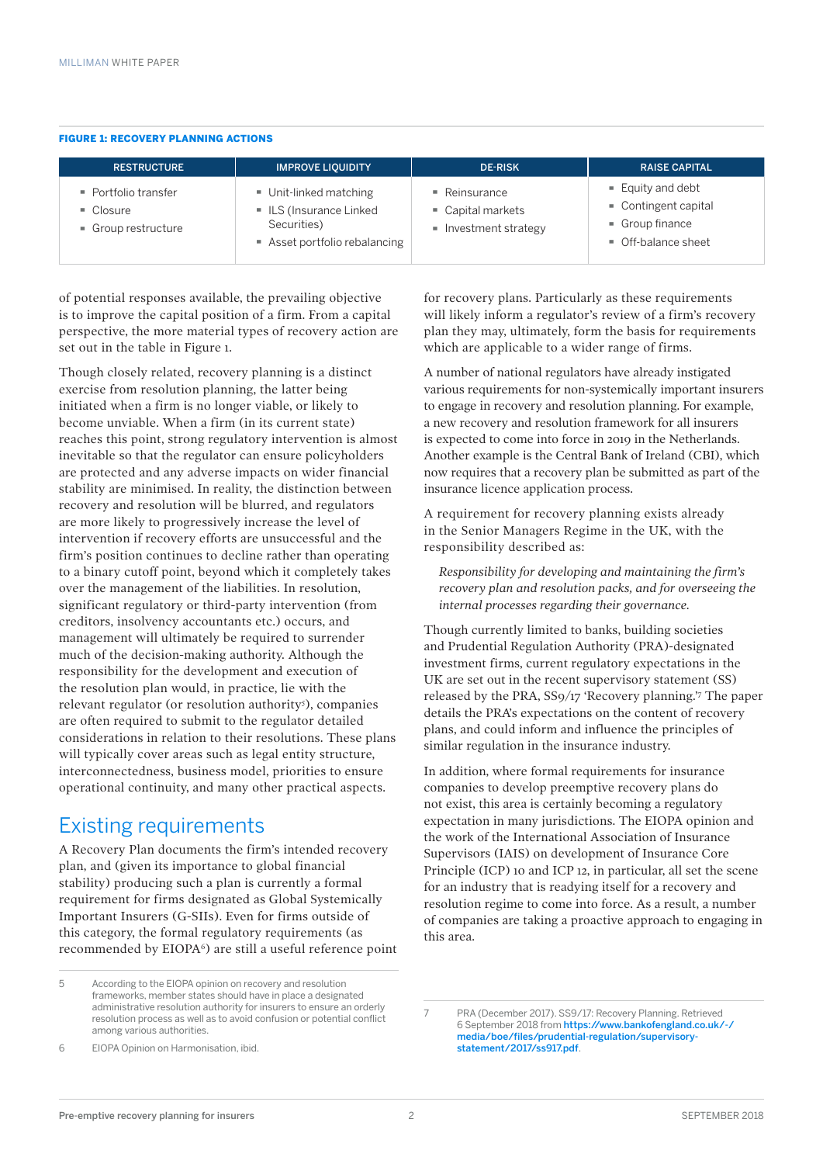#### FIGURE 1: RECOVERY PLANNING ACTIONS

| <b>RESTRUCTURE</b>                                                                 | <b>IMPROVE LIQUIDITY</b>                                                                    | <b>DE-RISK</b>                                                         | <b>RAISE CAPITAL</b>                                                                             |
|------------------------------------------------------------------------------------|---------------------------------------------------------------------------------------------|------------------------------------------------------------------------|--------------------------------------------------------------------------------------------------|
| $\blacksquare$ Portfolio transfer<br>$\blacksquare$ Closure<br>• Group restructure | Unit-linked matching<br>ILS (Insurance Linked<br>Securities)<br>Asset portfolio rebalancing | $\blacksquare$ Reinsurance<br>Capital markets<br>• Investment strategy | $=$ Equity and debt<br>Contingent capital<br>$\blacksquare$ Group finance<br>• Off-balance sheet |

of potential responses available, the prevailing objective is to improve the capital position of a firm. From a capital perspective, the more material types of recovery action are set out in the table in Figure 1.

Though closely related, recovery planning is a distinct exercise from resolution planning, the latter being initiated when a firm is no longer viable, or likely to become unviable. When a firm (in its current state) reaches this point, strong regulatory intervention is almost inevitable so that the regulator can ensure policyholders are protected and any adverse impacts on wider financial stability are minimised. In reality, the distinction between recovery and resolution will be blurred, and regulators are more likely to progressively increase the level of intervention if recovery efforts are unsuccessful and the firm's position continues to decline rather than operating to a binary cutoff point, beyond which it completely takes over the management of the liabilities. In resolution, significant regulatory or third-party intervention (from creditors, insolvency accountants etc.) occurs, and management will ultimately be required to surrender much of the decision-making authority. Although the responsibility for the development and execution of the resolution plan would, in practice, lie with the relevant regulator (or resolution authority<sup>5</sup>), companies are often required to submit to the regulator detailed considerations in relation to their resolutions. These plans will typically cover areas such as legal entity structure, interconnectedness, business model, priorities to ensure operational continuity, and many other practical aspects.

#### Existing requirements

A Recovery Plan documents the firm's intended recovery plan, and (given its importance to global financial stability) producing such a plan is currently a formal requirement for firms designated as Global Systemically Important Insurers (G-SIIs). Even for firms outside of this category, the formal regulatory requirements (as recommended by EIOPA<sup>6</sup>) are still a useful reference point

5 According to the EIOPA opinion on recovery and resolution frameworks, member states should have in place a designated administrative resolution authority for insurers to ensure an orderly resolution process as well as to avoid confusion or potential conflict among various authorities.

6 EIOPA Opinion on Harmonisation, ibid.

for recovery plans. Particularly as these requirements will likely inform a regulator's review of a firm's recovery plan they may, ultimately, form the basis for requirements which are applicable to a wider range of firms.

A number of national regulators have already instigated various requirements for non-systemically important insurers to engage in recovery and resolution planning. For example, a new recovery and resolution framework for all insurers is expected to come into force in 2019 in the Netherlands. Another example is the Central Bank of Ireland (CBI), which now requires that a recovery plan be submitted as part of the insurance licence application process.

A requirement for recovery planning exists already in the Senior Managers Regime in the UK, with the responsibility described as:

*Responsibility for developing and maintaining the firm's recovery plan and resolution packs, and for overseeing the internal processes regarding their governance.*

Though currently limited to banks, building societies and Prudential Regulation Authority (PRA)-designated investment firms, current regulatory expectations in the UK are set out in the recent supervisory statement (SS) released by the PRA, SS9/17 'Recovery planning.'7 The paper details the PRA's expectations on the content of recovery plans, and could inform and influence the principles of similar regulation in the insurance industry.

In addition, where formal requirements for insurance companies to develop preemptive recovery plans do not exist, this area is certainly becoming a regulatory expectation in many jurisdictions. The EIOPA opinion and the work of the International Association of Insurance Supervisors (IAIS) on development of Insurance Core Principle (ICP) 10 and ICP 12, in particular, all set the scene for an industry that is readying itself for a recovery and resolution regime to come into force. As a result, a number of companies are taking a proactive approach to engaging in this area.

<sup>7</sup> PRA (December 2017). SS9/17: Recovery Planning. Retrieved 6 September 2018 from [https://www.bankofengland.co.uk/-/](https://www.bankofengland.co.uk/-/media/boe/files/prudential-regulation/supervisory-statement/2017/ss917.pdf) [media/boe/files/prudential-regulation/supervisory](https://www.bankofengland.co.uk/-/media/boe/files/prudential-regulation/supervisory-statement/2017/ss917.pdf)[statement/2017/ss917.pdf](https://www.bankofengland.co.uk/-/media/boe/files/prudential-regulation/supervisory-statement/2017/ss917.pdf).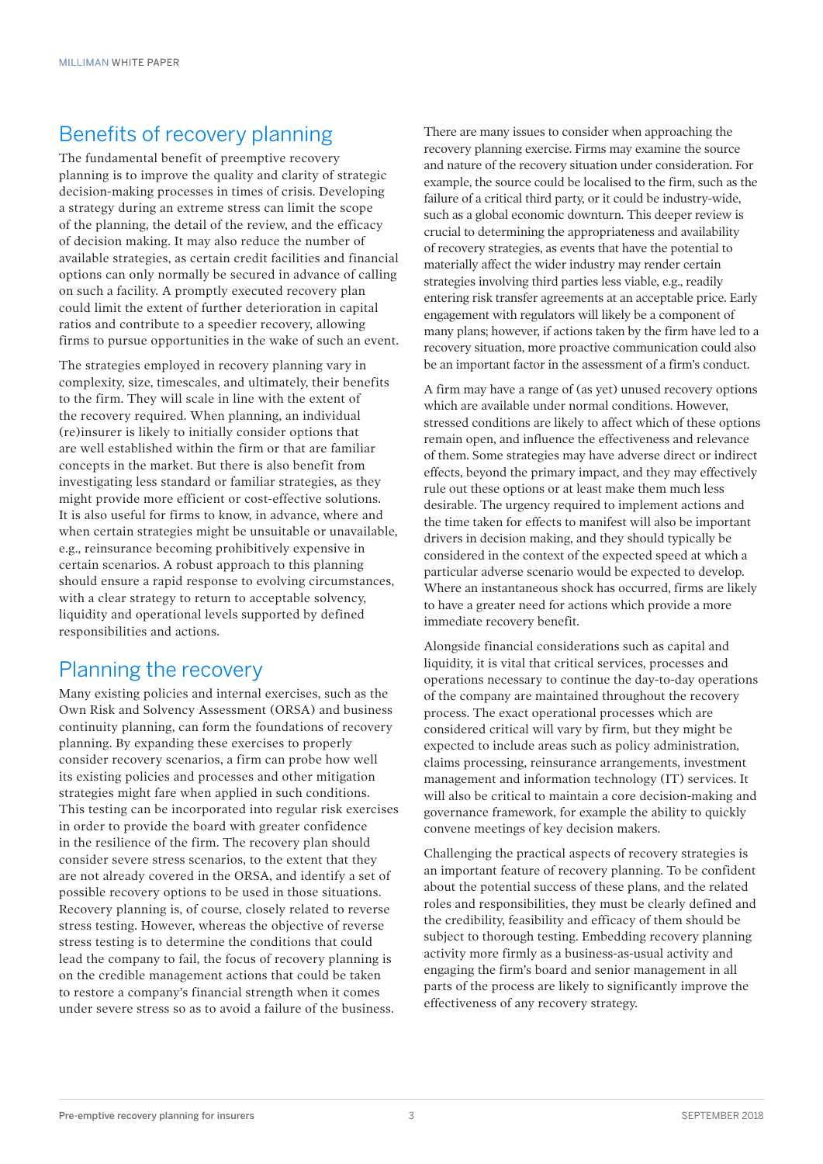## Benefits of recovery planning

The fundamental benefit of preemptive recovery planning is to improve the quality and clarity of strategic decision-making processes in times of crisis. Developing a strategy during an extreme stress can limit the scope of the planning, the detail of the review, and the efficacy of decision making. It may also reduce the number of available strategies, as certain credit facilities and financial options can only normally be secured in advance of calling on such a facility. A promptly executed recovery plan could limit the extent of further deterioration in capital ratios and contribute to a speedier recovery, allowing firms to pursue opportunities in the wake of such an event.

The strategies employed in recovery planning vary in complexity, size, timescales, and ultimately, their benefits to the firm. They will scale in line with the extent of the recovery required. When planning, an individual (re)insurer is likely to initially consider options that are well established within the firm or that are familiar concepts in the market. But there is also benefit from investigating less standard or familiar strategies, as they might provide more efficient or cost-effective solutions. It is also useful for firms to know, in advance, where and when certain strategies might be unsuitable or unavailable, e.g., reinsurance becoming prohibitively expensive in certain scenarios. A robust approach to this planning should ensure a rapid response to evolving circumstances, with a clear strategy to return to acceptable solvency, liquidity and operational levels supported by defined responsibilities and actions.

#### Planning the recovery

Many existing policies and internal exercises, such as the Own Risk and Solvency Assessment (ORSA) and business continuity planning, can form the foundations of recovery planning. By expanding these exercises to properly consider recovery scenarios, a firm can probe how well its existing policies and processes and other mitigation strategies might fare when applied in such conditions. This testing can be incorporated into regular risk exercises in order to provide the board with greater confidence in the resilience of the firm. The recovery plan should consider severe stress scenarios, to the extent that they are not already covered in the ORSA, and identify a set of possible recovery options to be used in those situations. Recovery planning is, of course, closely related to reverse stress testing. However, whereas the objective of reverse stress testing is to determine the conditions that could lead the company to fail, the focus of recovery planning is on the credible management actions that could be taken to restore a company's financial strength when it comes under severe stress so as to avoid a failure of the business.

There are many issues to consider when approaching the recovery planning exercise. Firms may examine the source and nature of the recovery situation under consideration. For example, the source could be localised to the firm, such as the failure of a critical third party, or it could be industry-wide, such as a global economic downturn. This deeper review is crucial to determining the appropriateness and availability of recovery strategies, as events that have the potential to materially affect the wider industry may render certain strategies involving third parties less viable, e.g., readily entering risk transfer agreements at an acceptable price. Early engagement with regulators will likely be a component of many plans; however, if actions taken by the firm have led to a recovery situation, more proactive communication could also be an important factor in the assessment of a firm's conduct.

A firm may have a range of (as yet) unused recovery options which are available under normal conditions. However, stressed conditions are likely to affect which of these options remain open, and influence the effectiveness and relevance of them. Some strategies may have adverse direct or indirect effects, beyond the primary impact, and they may effectively rule out these options or at least make them much less desirable. The urgency required to implement actions and the time taken for effects to manifest will also be important drivers in decision making, and they should typically be considered in the context of the expected speed at which a particular adverse scenario would be expected to develop. Where an instantaneous shock has occurred, firms are likely to have a greater need for actions which provide a more immediate recovery benefit.

Alongside financial considerations such as capital and liquidity, it is vital that critical services, processes and operations necessary to continue the day-to-day operations of the company are maintained throughout the recovery process. The exact operational processes which are considered critical will vary by firm, but they might be expected to include areas such as policy administration, claims processing, reinsurance arrangements, investment management and information technology (IT) services. It will also be critical to maintain a core decision-making and governance framework, for example the ability to quickly convene meetings of key decision makers.

Challenging the practical aspects of recovery strategies is an important feature of recovery planning. To be confident about the potential success of these plans, and the related roles and responsibilities, they must be clearly defined and the credibility, feasibility and efficacy of them should be subject to thorough testing. Embedding recovery planning activity more firmly as a business-as-usual activity and engaging the firm's board and senior management in all parts of the process are likely to significantly improve the effectiveness of any recovery strategy.